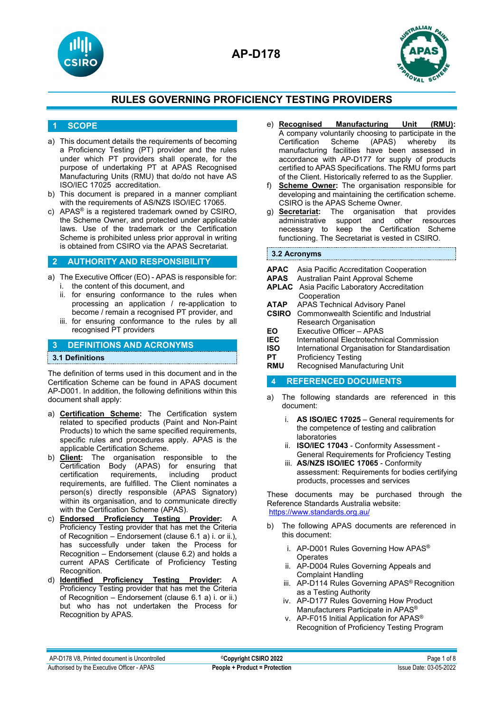



### **1 SCOPE**

- a) This document details the requirements of becoming a Proficiency Testing (PT) provider and the rules under which PT providers shall operate, for the purpose of undertaking PT at APAS Recognised Manufacturing Units (RMU) that do/do not have AS ISO/IEC 17025 accreditation.
- b) This document is prepared in a manner compliant with the requirements of AS/NZS ISO/IEC 17065.
- c) APAS® is a registered trademark owned by CSIRO, the Scheme Owner, and protected under applicable laws. Use of the trademark or the Certification Scheme is prohibited unless prior approval in writing is obtained from CSIRO via the APAS Secretariat.

### **2 AUTHORITY AND RESPONSIBILITY**

- a) The Executive Officer (EO) APAS is responsible for: i. the content of this document, and
	- ii. for ensuring conformance to the rules when processing an application / re-application to become / remain a recognised PT provider, and
	- iii. for ensuring conformance to the rules by all recognised PT providers

## **3 DEFINITIONS AND ACRONYMS**

#### **3.1 Definitions**

The definition of terms used in this document and in the Certification Scheme can be found in APAS document AP-D001. In addition, the following definitions within this document shall apply:

- a) **Certification Scheme:** The Certification system related to specified products (Paint and Non-Paint Products) to which the same specified requirements, specific rules and procedures apply. APAS is the applicable Certification Scheme.
- b) **Client:** The organisation responsible to the Certification Body (APAS) for ensuring that certification requirements, including product requirements, including product requirements, are fulfilled. The Client nominates a person(s) directly responsible (APAS Signatory) within its organisation, and to communicate directly with the Certification Scheme (APAS).
- c) **Endorsed Proficiency Testing Provider:** A Proficiency Testing provider that has met the Criteria of Recognition – Endorsement (clause 6.1 a) i. or ii.), has successfully under taken the Process for Recognition – Endorsement (clause 6.2) and holds a current APAS Certificate of Proficiency Testing Recognition.
- d) **Identified Proficiency Testing Provider:** A Proficiency Testing provider that has met the Criteria of Recognition – Endorsement (clause 6.1 a) i. or ii.) but who has not undertaken the Process for Recognition by APAS.
- e) **Recognised Manufacturing Unit (RMU):** A company voluntarily choosing to participate in the Certification Scheme (APAS) whereby manufacturing facilities have been assessed in accordance with AP-D177 for supply of products certified to APAS Specifications. The RMU forms part of the Client. Historically referred to as the Supplier.
- f) **Scheme Owner:** The organisation responsible for developing and maintaining the certification scheme. CSIRO is the APAS Scheme Owner.
- g) **Secretariat:** The organisation that provides administrative support and other resources necessary to keep the Certification Scheme functioning. The Secretariat is vested in CSIRO.

### **3.2 Acronyms**

| $\sim$ - AUDION 30 |                                                    |
|--------------------|----------------------------------------------------|
| APAC               | Asia Pacific Accreditation Cooperation             |
| APAS               | Australian Paint Approval Scheme                   |
|                    | <b>APLAC</b> Asia Pacific Laboratory Accreditation |
|                    | Cooperation                                        |
| ATAP.              | <b>APAS Technical Advisory Panel</b>               |
| <b>CSIRO</b>       | Commonwealth Scientific and Industrial             |
|                    | <b>Research Organisation</b>                       |
| EΟ                 | Executive Officer - APAS                           |
| IEC.               | International Electrotechnical Commission          |
| ISO                | International Organisation for Standardisation     |
| PТ                 | <b>Proficiency Testing</b>                         |

**RMU** Recognised Manufacturing Unit

## **4 REFERENCED DOCUMENTS**

- a) The following standards are referenced in this document:
	- i. **AS ISO/IEC 17025** General requirements for the competence of testing and calibration laboratories
	- ii. **ISO/IEC 17043** Conformity Assessment General Requirements for Proficiency Testing
	- iii. **AS/NZS ISO/IEC 17065** Conformity assessment: Requirements for bodies certifying products, processes and services

These documents may be purchased through the Reference Standards Australia website: <https://www.standards.org.au/>

- b) The following APAS documents are referenced in this document:
	- i. AP-D001 Rules Governing How APAS® **Operates**
	- ii. AP-D004 Rules Governing Appeals and Complaint Handling
	- iii. AP-D114 Rules Governing APAS® Recognition as a Testing Authority
	- iv. AP-D177 Rules Governing How Product Manufacturers Participate in APAS®
	- v. AP-F015 Initial Application for APAS® Recognition of Proficiency Testing Program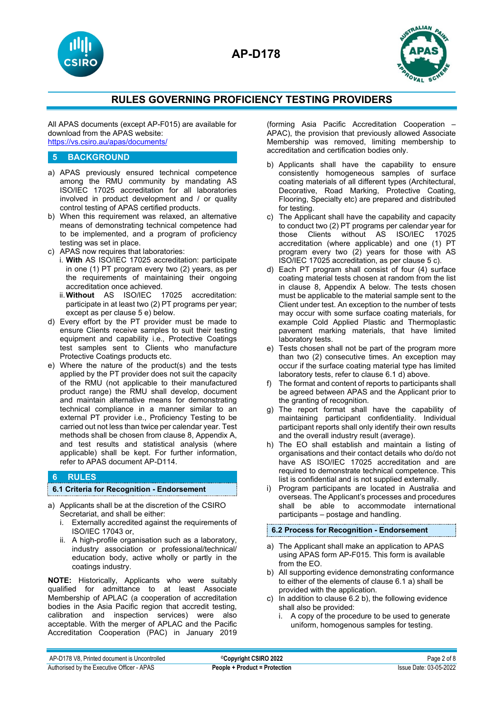



All APAS documents (except AP-F015) are available for download from the APAS website: <https://vs.csiro.au/apas/documents/>

## **5 BACKGROUND**

- a) APAS previously ensured technical competence among the RMU community by mandating AS ISO/IEC 17025 accreditation for all laboratories involved in product development and / or quality control testing of APAS certified products.
- b) When this requirement was relaxed, an alternative means of demonstrating technical competence had to be implemented, and a program of proficiency testing was set in place.
- c) APAS now requires that laboratories:
	- i. **With** AS ISO/IEC 17025 accreditation: participate in one (1) PT program every two (2) years, as per the requirements of maintaining their ongoing accreditation once achieved.
	- ii.**Without** AS ISO/IEC 17025 accreditation: participate in at least two (2) PT programs per year; except as per clause 5 e) below.
- d) Every effort by the PT provider must be made to ensure Clients receive samples to suit their testing equipment and capability i.e., Protective Coatings test samples sent to Clients who manufacture Protective Coatings products etc.
- e) Where the nature of the product(s) and the tests applied by the PT provider does not suit the capacity of the RMU (not applicable to their manufactured product range) the RMU shall develop, document and maintain alternative means for demonstrating technical compliance in a manner similar to an external PT provider i.e., Proficiency Testing to be carried out not less than twice per calendar year. Test methods shall be chosen from clause 8, Appendix A, and test results and statistical analysis (where applicable) shall be kept. For further information, refer to APAS document AP-D114.

## **6 RULES**

## **6.1 Criteria for Recognition - Endorsement**

- a) Applicants shall be at the discretion of the CSIRO Secretariat, and shall be either:
	- i. Externally accredited against the requirements of ISO/IEC 17043 or,
	- ii. A high-profile organisation such as a laboratory, industry association or professional/technical/ education body, active wholly or partly in the coatings industry.

**NOTE:** Historically, Applicants who were suitably qualified for admittance to at least Associate Membership of APLAC (a cooperation of accreditation bodies in the Asia Pacific region that accredit testing, calibration and inspection services) were also acceptable. With the merger of APLAC and the Pacific Accreditation Cooperation (PAC) in January 2019

(forming Asia Pacific Accreditation Cooperation – APAC), the provision that previously allowed Associate Membership was removed, limiting membership to accreditation and certification bodies only.

- b) Applicants shall have the capability to ensure consistently homogeneous samples of surface coating materials of all different types (Architectural, Decorative, Road Marking, Protective Coating, Flooring, Specialty etc) are prepared and distributed for testing.
- c) The Applicant shall have the capability and capacity to conduct two (2) PT programs per calendar year for Clients without AS ISO/IEC 17025 accreditation (where applicable) and one (1) PT program every two (2) years for those with AS ISO/IEC 17025 accreditation, as per clause 5 c).
- d) Each PT program shall consist of four (4) surface coating material tests chosen at random from the list in clause 8, Appendix A below. The tests chosen must be applicable to the material sample sent to the Client under test. An exception to the number of tests may occur with some surface coating materials, for example Cold Applied Plastic and Thermoplastic pavement marking materials, that have limited laboratory tests.
- e) Tests chosen shall not be part of the program more than two (2) consecutive times. An exception may occur if the surface coating material type has limited laboratory tests, refer to clause 6.1 d) above.
- f) The format and content of reports to participants shall be agreed between APAS and the Applicant prior to the granting of recognition.
- g) The report format shall have the capability of maintaining participant confidentiality. Individual participant reports shall only identify their own results and the overall industry result (average).
- h) The EO shall establish and maintain a listing of organisations and their contact details who do/do not have AS ISO/IEC 17025 accreditation and are required to demonstrate technical competence. This list is confidential and is not supplied externally.
- i) Program participants are located in Australia and overseas. The Applicant's processes and procedures shall be able to accommodate international participants – postage and handling.

## **6.2 Process for Recognition - Endorsement**

- a) The Applicant shall make an application to APAS using APAS form AP-F015. This form is available from the EO.
- b) All supporting evidence demonstrating conformance to either of the elements of clause 6.1 a) shall be provided with the application.
- c) In addition to clause  $6.2$  b), the following evidence shall also be provided:
	- i. A copy of the procedure to be used to generate uniform, homogenous samples for testing.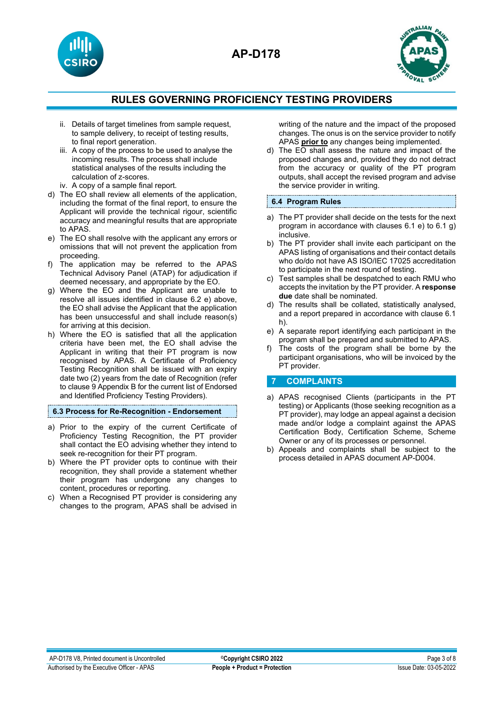



- ii. Details of target timelines from sample request, to sample delivery, to receipt of testing results, to final report generation.
- iii. A copy of the process to be used to analyse the incoming results. The process shall include statistical analyses of the results including the calculation of z-scores.
- iv. A copy of a sample final report.
- d) The EO shall review all elements of the application, including the format of the final report, to ensure the Applicant will provide the technical rigour, scientific accuracy and meaningful results that are appropriate to APAS.
- e) The EO shall resolve with the applicant any errors or omissions that will not prevent the application from proceeding.
- f) The application may be referred to the APAS Technical Advisory Panel (ATAP) for adjudication if deemed necessary, and appropriate by the EO.
- g) Where the EO and the Applicant are unable to resolve all issues identified in clause 6.2 e) above, the EO shall advise the Applicant that the application has been unsuccessful and shall include reason(s) for arriving at this decision.
- h) Where the EO is satisfied that all the application criteria have been met, the EO shall advise the Applicant in writing that their PT program is now recognised by APAS. A Certificate of Proficiency Testing Recognition shall be issued with an expiry date two (2) years from the date of Recognition (refer to clause 9 Appendix B for the current list of Endorsed and Identified Proficiency Testing Providers).

#### **6.3 Process for Re-Recognition - Endorsement**

- a) Prior to the expiry of the current Certificate of Proficiency Testing Recognition, the PT provider shall contact the EO advising whether they intend to seek re-recognition for their PT program.
- b) Where the PT provider opts to continue with their recognition, they shall provide a statement whether their program has undergone any changes to content, procedures or reporting.
- c) When a Recognised PT provider is considering any changes to the program, APAS shall be advised in

writing of the nature and the impact of the proposed changes. The onus is on the service provider to notify APAS **prior to** any changes being implemented.

d) The EO shall assess the nature and impact of the proposed changes and, provided they do not detract from the accuracy or quality of the PT program outputs, shall accept the revised program and advise the service provider in writing.

#### **6.4 Program Rules**

- a) The PT provider shall decide on the tests for the next program in accordance with clauses 6.1 e) to 6.1 g) inclusive.
- b) The PT provider shall invite each participant on the APAS listing of organisations and their contact details who do/do not have AS ISO/IEC 17025 accreditation to participate in the next round of testing.
- c) Test samples shall be despatched to each RMU who accepts the invitation by the PT provider. A **response due** date shall be nominated.
- d) The results shall be collated, statistically analysed, and a report prepared in accordance with clause 6.1 h).
- e)  $\overrightarrow{A}$  separate report identifying each participant in the program shall be prepared and submitted to APAS.
- f) The costs of the program shall be borne by the participant organisations, who will be invoiced by the PT provider.

#### **7 COMPLAINTS**

- a) APAS recognised Clients (participants in the PT testing) or Applicants (those seeking recognition as a PT provider), may lodge an appeal against a decision made and/or lodge a complaint against the APAS Certification Body, Certification Scheme, Scheme Owner or any of its processes or personnel.
- b) Appeals and complaints shall be subject to the process detailed in APAS document AP-D004.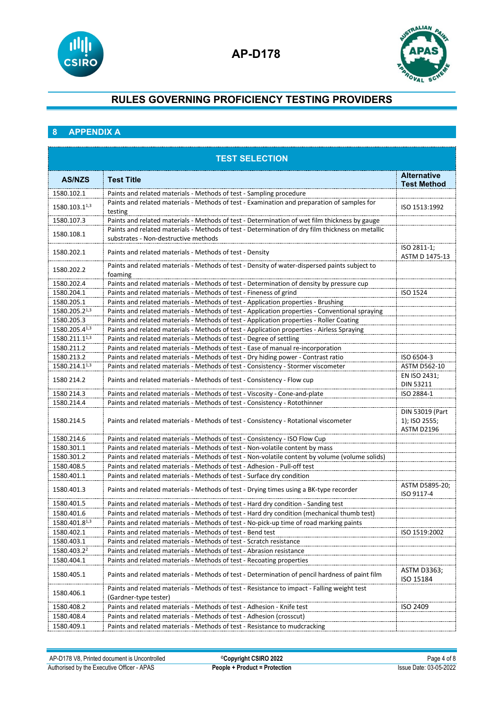



## **8 APPENDIX A**

| <b>TEST SELECTION</b>   |                                                                                                                                          |                                                |  |
|-------------------------|------------------------------------------------------------------------------------------------------------------------------------------|------------------------------------------------|--|
| <b>AS/NZS</b>           | <b>Test Title</b>                                                                                                                        | <b>Alternative</b><br><b>Test Method</b>       |  |
| 1580.102.1              | Paints and related materials - Methods of test - Sampling procedure                                                                      |                                                |  |
| 1580.103.11,3           | Paints and related materials - Methods of test - Examination and preparation of samples for<br>testing                                   | ISO 1513:1992                                  |  |
| 1580.107.3              | Paints and related materials - Methods of test - Determination of wet film thickness by gauge                                            |                                                |  |
| 1580.108.1              | Paints and related materials - Methods of test - Determination of dry film thickness on metallic<br>substrates - Non-destructive methods |                                                |  |
| 1580.202.1              | Paints and related materials - Methods of test - Density                                                                                 | ISO 2811-1;<br>ASTM D 1475-13                  |  |
| 1580.202.2              | Paints and related materials - Methods of test - Density of water-dispersed paints subject to<br>foaming                                 |                                                |  |
| 1580.202.4              | Paints and related materials - Methods of test - Determination of density by pressure cup                                                |                                                |  |
| 1580.204.1              | Paints and related materials - Methods of test - Fineness of grind                                                                       | <b>ISO 1524</b>                                |  |
| 1580.205.1              | Paints and related materials - Methods of test - Application properties - Brushing                                                       |                                                |  |
| 1580.205.21,3           | Paints and related materials - Methods of test - Application properties - Conventional spraying                                          |                                                |  |
| 1580.205.3              | Paints and related materials - Methods of test - Application properties - Roller Coating                                                 |                                                |  |
| 1580.205.41,3           | Paints and related materials - Methods of test - Application properties - Airless Spraying                                               |                                                |  |
| 1580.211.11,3           | Paints and related materials - Methods of test - Degree of settling                                                                      |                                                |  |
| 1580.211.2              | Paints and related materials - Methods of test - Ease of manual re-incorporation                                                         |                                                |  |
| 1580.213.2              | Paints and related materials - Methods of test - Dry hiding power - Contrast ratio                                                       | ISO 6504-3                                     |  |
| 1580.214.11,3           | Paints and related materials - Methods of test - Consistency - Stormer viscometer                                                        | <b>ASTM D562-10</b>                            |  |
| 1580 214.2              | Paints and related materials - Methods of test - Consistency - Flow cup                                                                  | EN ISO 2431;<br>DIN 53211                      |  |
| 1580 214.3              | Paints and related materials - Methods of test - Viscosity - Cone-and-plate                                                              | ISO 2884-1                                     |  |
| 1580.214.4              | Paints and related materials - Methods of test - Consistency - Rotothinner                                                               |                                                |  |
| 1580.214.5              | Paints and related materials - Methods of test - Consistency - Rotational viscometer                                                     | DIN 53019 (Part<br>1); ISO 2555;<br>ASTM D2196 |  |
| 1580.214.6              | Paints and related materials - Methods of test - Consistency - ISO Flow Cup                                                              |                                                |  |
| 1580.301.1              | Paints and related materials - Methods of test - Non-volatile content by mass                                                            |                                                |  |
| 1580.301.2              | Paints and related materials - Methods of test - Non-volatile content by volume (volume solids)                                          |                                                |  |
| 1580.408.5              | Paints and related materials - Methods of test - Adhesion - Pull-off test                                                                |                                                |  |
| 1580.401.1              | Paints and related materials - Methods of test - Surface dry condition                                                                   |                                                |  |
| 1580.401.3              | Paints and related materials - Methods of test - Drying times using a BK-type recorder                                                   | ASTM D5895-20;<br>ISO 9117-4                   |  |
| 1580.401.5              | Paints and related materials - Methods of test - Hard dry condition - Sanding test                                                       |                                                |  |
| 1580.401.6              | Paints and related materials - Methods of test - Hard dry condition (mechanical thumb test)                                              |                                                |  |
| 1580.401.81,3           | Paints and related materials - Methods of test - No-pick-up time of road marking paints                                                  |                                                |  |
| 1580.402.1              | Paints and related materials - Methods of test - Bend test                                                                               | ISO 1519:2002                                  |  |
| 1580.403.1              | Paints and related materials - Methods of test - Scratch resistance                                                                      |                                                |  |
| 1580.403.2 <sup>2</sup> | Paints and related materials - Methods of test - Abrasion resistance                                                                     |                                                |  |
| 1580.404.1              | Paints and related materials - Methods of test - Recoating properties                                                                    |                                                |  |
| 1580.405.1              | Paints and related materials - Methods of test - Determination of pencil hardness of paint film                                          | ASTM D3363;<br>ISO 15184                       |  |
| 1580.406.1              | Paints and related materials - Methods of test - Resistance to impact - Falling weight test<br>(Gardner-type tester)                     |                                                |  |
| 1580.408.2              | Paints and related materials - Methods of test - Adhesion - Knife test                                                                   | <b>ISO 2409</b>                                |  |
| 1580.408.4              | Paints and related materials - Methods of test - Adhesion (crosscut)                                                                     |                                                |  |
| 1580.409.1              | Paints and related materials - Methods of test - Resistance to mudcracking                                                               |                                                |  |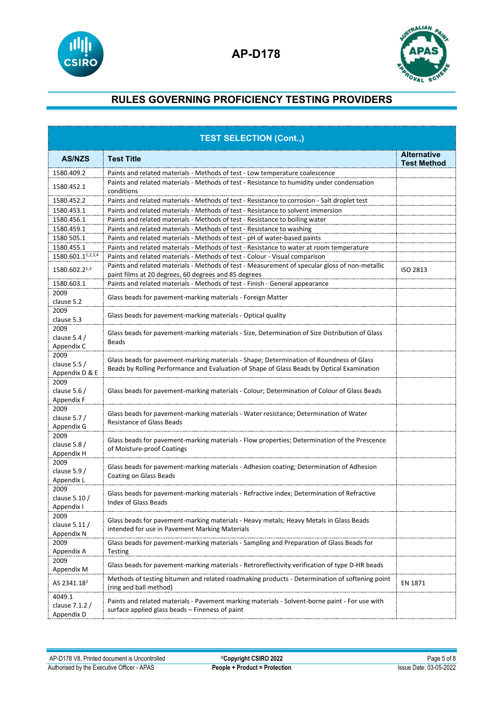



| <b>TEST SELECTION (Cont.,)</b>          |                                                                                                                                                                                       |                                          |  |  |
|-----------------------------------------|---------------------------------------------------------------------------------------------------------------------------------------------------------------------------------------|------------------------------------------|--|--|
| <b>AS/NZS</b>                           | <b>Test Title</b>                                                                                                                                                                     | <b>Alternative</b><br><b>Test Method</b> |  |  |
| 1580.409.2                              | Paints and related materials - Methods of test - Low temperature coalescence                                                                                                          |                                          |  |  |
| 1580.452.1                              | Paints and related materials - Methods of test - Resistance to humidity under condensation<br>conditions                                                                              |                                          |  |  |
| 1580.452.2                              | Paints and related materials - Methods of test - Resistance to corrosion - Salt droplet test                                                                                          |                                          |  |  |
| 1580.453.1                              | Paints and related materials - Methods of test - Resistance to solvent immersion                                                                                                      |                                          |  |  |
| 1580.456.1                              | Paints and related materials - Methods of test - Resistance to boiling water                                                                                                          |                                          |  |  |
| 1580.459.1                              | Paints and related materials - Methods of test - Resistance to washing                                                                                                                |                                          |  |  |
| 1580 505.1                              | Paints and related materials - Methods of test - pH of water-based paints                                                                                                             |                                          |  |  |
| 1580.455.1                              | Paints and related materials - Methods of test - Resistance to water at room temperature                                                                                              |                                          |  |  |
| 1580.601.11,2,3,4                       | Paints and related materials - Methods of test - Colour - Visual comparison                                                                                                           |                                          |  |  |
| 1580.602.21,3                           | Paints and related materials - Methods of test - Measurement of specular gloss of non-metallic<br>paint films at 20 degrees, 60 degrees and 85 degrees                                | ISO 2813                                 |  |  |
| 1580.603.1                              | Paints and related materials - Methods of test - Finish - General appearance                                                                                                          |                                          |  |  |
| 2009<br>clause 5.2                      | Glass beads for pavement-marking materials - Foreign Matter                                                                                                                           |                                          |  |  |
| 2009<br>clause 5.3                      | Glass beads for pavement-marking materials - Optical quality                                                                                                                          |                                          |  |  |
| 2009<br>clause $5.4/$<br>Appendix C     | Glass beads for pavement-marking materials - Size, Determination of Size Distribution of Glass<br><b>Beads</b>                                                                        |                                          |  |  |
| 2009<br>clause $5.5/$<br>Appendix D & E | Glass beads for pavement-marking materials - Shape; Determination of Roundness of Glass<br>Beads by Rolling Performance and Evaluation of Shape of Glass Beads by Optical Examination |                                          |  |  |
| 2009<br>clause $5.6/$<br>Appendix F     | Glass beads for pavement-marking materials - Colour; Determination of Colour of Glass Beads                                                                                           |                                          |  |  |
| 2009<br>clause $5.7/$<br>Appendix G     | Glass beads for pavement-marking materials - Water resistance; Determination of Water<br><b>Resistance of Glass Beads</b>                                                             |                                          |  |  |
| 2009<br>clause $5.8/$<br>Appendix H     | Glass beads for pavement-marking materials - Flow properties; Determination of the Prescence<br>of Moisture-proof Coatings                                                            |                                          |  |  |
| 2009<br>clause $5.9/$<br>Appendix L     | Glass beads for pavement-marking materials - Adhesion coating; Determination of Adhesion<br>Coating on Glass Beads                                                                    |                                          |  |  |
| 2009<br>clause 5.10 /<br>Appendix I     | Glass beads for pavement-marking materials - Refractive index; Determination of Refractive<br>Index of Glass Beads                                                                    |                                          |  |  |
| 2009<br>clause 5.11 /<br>Appendix N     | Glass beads for pavement-marking materials - Heavy metals; Heavy Metals in Glass Beads<br>intended for use in Pavement Marking Materials                                              |                                          |  |  |
| 2009<br>Appendix A                      | Glass beads for pavement-marking materials - Sampling and Preparation of Glass Beads for<br>Testing                                                                                   |                                          |  |  |
| 2009<br>Appendix M                      | Glass beads for pavement-marking materials - Retroreflectivity verification of type D-HR beads                                                                                        |                                          |  |  |
| AS 2341.18 <sup>2</sup>                 | Methods of testing bitumen and related roadmaking products - Determination of softening point<br>(ring and ball method)                                                               | EN 1871                                  |  |  |
| 4049.1<br>clause 7.1.2 /<br>Appendix D  | Paints and related materials - Pavement marking materials - Solvent-borne paint - For use with<br>surface applied glass beads - Fineness of paint                                     |                                          |  |  |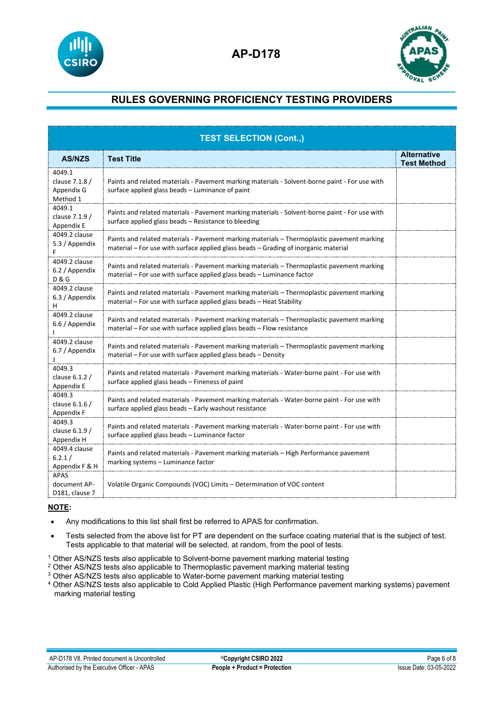



| <b>TEST SELECTION (Cont.,)</b>                     |                                                                                                                                                                                   |                                          |  |
|----------------------------------------------------|-----------------------------------------------------------------------------------------------------------------------------------------------------------------------------------|------------------------------------------|--|
| <b>AS/NZS</b>                                      | <b>Test Title</b>                                                                                                                                                                 | <b>Alternative</b><br><b>Test Method</b> |  |
| 4049.1<br>clause 7.1.8 /<br>Appendix G<br>Method 1 | Paints and related materials - Pavement marking materials - Solvent-borne paint - For use with<br>surface applied glass beads - Luminance of paint                                |                                          |  |
| 4049.1<br>clause 7.1.9 /<br>Appendix E             | Paints and related materials - Pavement marking materials - Solvent-borne paint - For use with<br>surface applied glass beads - Resistance to bleeding                            |                                          |  |
| 4049.2 clause<br>5.3 / Appendix<br>F               | Paints and related materials - Pavement marking materials - Thermoplastic pavement marking<br>material – For use with surface applied glass beads – Grading of inorganic material |                                          |  |
| 4049.2 clause<br>6.2 / Appendix<br><b>D&amp;G</b>  | Paints and related materials - Pavement marking materials - Thermoplastic pavement marking<br>material – For use with surface applied glass beads – Luminance factor              |                                          |  |
| 4049.2 clause<br>6.3 / Appendix<br>н               | Paints and related materials - Pavement marking materials - Thermoplastic pavement marking<br>material - For use with surface applied glass beads - Heat Stability                |                                          |  |
| 4049.2 clause<br>6.6 / Appendix                    | Paints and related materials - Pavement marking materials - Thermoplastic pavement marking<br>material – For use with surface applied glass beads – Flow resistance               |                                          |  |
| 4049.2 clause<br>6.7 / Appendix<br>$\mathbf{I}$    | Paints and related materials - Pavement marking materials - Thermoplastic pavement marking<br>material – For use with surface applied glass beads – Density                       |                                          |  |
| 4049.3<br>clause 6.1.2 /<br>Appendix E             | Paints and related materials - Pavement marking materials - Water-borne paint - For use with<br>surface applied glass beads - Fineness of paint                                   |                                          |  |
| 4049.3<br>clause 6.1.6 /<br>Appendix F             | Paints and related materials - Pavement marking materials - Water-borne paint - For use with<br>surface applied glass beads - Early washout resistance                            |                                          |  |
| 4049.3<br>clause 6.1.9 /<br>Appendix H             | Paints and related materials - Pavement marking materials - Water-borne paint - For use with<br>surface applied glass beads – Luminance factor                                    |                                          |  |
| 4049.4 clause<br>6.2.1/<br>Appendix F & H          | Paints and related materials - Pavement marking materials - High Performance pavement<br>marking systems - Luminance factor                                                       |                                          |  |
| APAS<br>document AP-<br>D181, clause 7             | Volatile Organic Compounds (VOC) Limits - Determination of VOC content                                                                                                            |                                          |  |

## **NOTE:**

- Any modifications to this list shall first be referred to APAS for confirmation.
- Tests selected from the above list for PT are dependent on the surface coating material that is the subject of test. Tests applicable to that material will be selected, at random, from the pool of tests.
- <sup>1</sup> Other AS/NZS tests also applicable to Solvent-borne pavement marking material testing
- <sup>2</sup> Other AS/NZS tests also applicable to Thermoplastic pavement marking material testing
- <sup>3</sup> Other AS/NZS tests also applicable to Water-borne pavement marking material testing
- <sup>4</sup> Other AS/NZS tests also applicable to Cold Applied Plastic (High Performance pavement marking systems) pavement marking material testing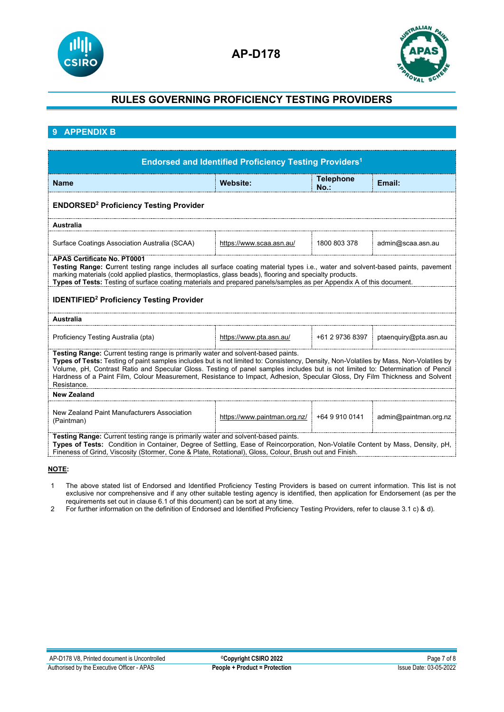



## **9 APPENDIX B**

| <b>Endorsed and Identified Proficiency Testing Providers<sup>1</sup></b>                                                                                                                                                                                                                                                                                                                                                                                                                                      |                              |                             |                       |
|---------------------------------------------------------------------------------------------------------------------------------------------------------------------------------------------------------------------------------------------------------------------------------------------------------------------------------------------------------------------------------------------------------------------------------------------------------------------------------------------------------------|------------------------------|-----------------------------|-----------------------|
| <b>Name</b>                                                                                                                                                                                                                                                                                                                                                                                                                                                                                                   | Website:                     | <b>Telephone</b><br>$No.$ : | Email:                |
| <b>ENDORSED<sup>2</sup> Proficiency Testing Provider</b>                                                                                                                                                                                                                                                                                                                                                                                                                                                      |                              |                             |                       |
| Australia                                                                                                                                                                                                                                                                                                                                                                                                                                                                                                     |                              |                             |                       |
| Surface Coatings Association Australia (SCAA)                                                                                                                                                                                                                                                                                                                                                                                                                                                                 | https://www.scaa.asn.au/     | 1800 803 378                | admin@scaa.asn.au     |
| <b>APAS Certificate No. PT0001</b><br>Testing Range: Current testing range includes all surface coating material types i.e., water and solvent-based paints, pavement<br>marking materials (cold applied plastics, thermoplastics, glass beads), flooring and specialty products.<br>Types of Tests: Testing of surface coating materials and prepared panels/samples as per Appendix A of this document.                                                                                                     |                              |                             |                       |
| <b>IDENTIFIED<sup>2</sup> Proficiency Testing Provider</b>                                                                                                                                                                                                                                                                                                                                                                                                                                                    |                              |                             |                       |
| Australia                                                                                                                                                                                                                                                                                                                                                                                                                                                                                                     |                              |                             |                       |
| Proficiency Testing Australia (pta)                                                                                                                                                                                                                                                                                                                                                                                                                                                                           | https://www.pta.asn.au/      | +61 2 9736 8397             | ptaenguiry@pta.asn.au |
| Testing Range: Current testing range is primarily water and solvent-based paints.<br>Types of Tests: Testing of paint samples includes but is not limited to: Consistency, Density, Non-Volatiles by Mass, Non-Volatiles by<br>Volume, pH, Contrast Ratio and Specular Gloss. Testing of panel samples includes but is not limited to: Determination of Pencil<br>Hardness of a Paint Film, Colour Measurement, Resistance to Impact, Adhesion, Specular Gloss, Dry Film Thickness and Solvent<br>Resistance. |                              |                             |                       |
| <b>New Zealand</b>                                                                                                                                                                                                                                                                                                                                                                                                                                                                                            |                              |                             |                       |
| New Zealand Paint Manufacturers Association<br>(Paintman)                                                                                                                                                                                                                                                                                                                                                                                                                                                     | https://www.paintman.org.nz/ | +64 9 910 0141              | admin@paintman.org.nz |
| Testing Range: Current testing range is primarily water and solvent-based paints.<br>Types of Tests: Condition in Container, Degree of Settling, Ease of Reincorporation, Non-Volatile Content by Mass, Density, pH,<br>Fineness of Grind, Viscosity (Stormer, Cone & Plate, Rotational), Gloss, Colour, Brush out and Finish.                                                                                                                                                                                |                              |                             |                       |

#### **NOTE:**

- 1 The above stated list of Endorsed and Identified Proficiency Testing Providers is based on current information. This list is not exclusive nor comprehensive and if any other suitable testing agency is identified, then application for Endorsement (as per the requirements set out in clause 6.1 of this document) can be sort at any time.
- 2 For further information on the definition of Endorsed and Identified Proficiency Testing Providers, refer to clause 3.1 c) & d).